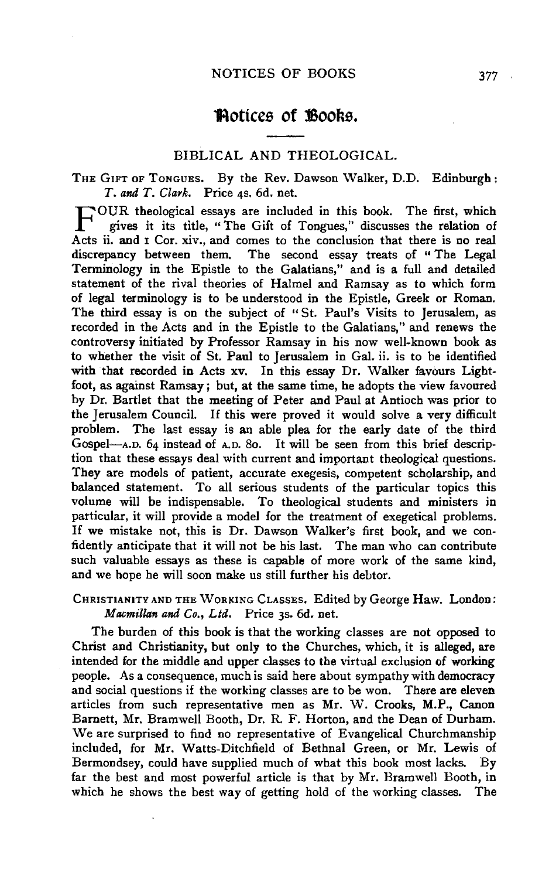# **'Aottccs of lSooks.**

## BIBLICAL AND THEOLOGICAL.

THE GIFT OF ToNGUES. By the Rev. Dawson Walker, D.D. Edinburgh: *T. and T. Clark.* Price 4s. 6d. net.

F OUR theological essays are included in this book. The first, which gives it its title, "The Gift of Tongues," discusses the relation of Acts ii. and I Cor. xiv., and comes to the conclusion that there is no real discrepancy between them. The second essay treats of "The Legal Terminology in the Epistle to the Galatians," and is a full and detailed statement of the rival theories of Halmel and Ramsay as to which form of legal terminology is to be understood in the Epistle, Greek or Roman. The third essay is on the subject of "St. Paul's Visits to Jerusalem, as recorded in the Acts and in the Epistle to the Galatians," and renews the controversy initiated by Professor Ramsay in his now well-known book as to whether the visit of St. Paul to Jerusalem in Gal. ii. is to be identified with that recorded in Acts xv. In this essay Dr. Walker favours Lightfoot, as against Ramsay ; but, at the same time, he adopts the view favoured by Dr. Bartlet that the meeting of Peter and Paul at Antioch was prior to the Jerusalem Council. If this were proved it would solve a very difficult problem. The last essay is an able plea for the early date of the third Gospel-A.D. 64 instead of A.D. So. It will be seen from this brief description that these essays deal with current and important theological questions. They are models of patient, accurate exegesis, competent scholarship, and balanced statement. To all serious students of the particular topics this volume will be indispensable. To theological students and ministers in particular, it will provide a model for the treatment of exegetical problems. If we mistake not, this is Dr. Dawson Walker's first book, and we confidently anticipate that it will not be his last. The man who can contribute such valuable essays as these is capable of more work of the same kind, and we hope he will soon make us still further his debtor.

# CHRISTIANITY AND THE WORKING CLASSES. Edited by George Haw. London: *Macmillan and Co., Ltd.* Price 3s. 6d. net.

The burden of this book is that the working classes are not opposed to Christ and Christianity, but only to the Churches, which, it is alleged, are intended for the middle and upper classes to the virtual exclusion of working people. As a consequence, much is said here about sympathy with democracy and social questions if the working classes are to be won. There are eleven articles from such representative men as Mr. W. Crooks, M.P., Canon Barnett, Mr. Bramwell Booth, Dr. R. F. Horton, and the Dean of Durham. We are surprised to find no representative of Evangelical Churchmanship included, for Mr. Watts-Ditchfield of Bethnal Green, or Mr. Lewis of Bermondsey, could have supplied much of what this book most lacks. By far the best and most powerful article is that by Mr. Bramwell Booth, in which he shows the best way of getting hold of the working classes. The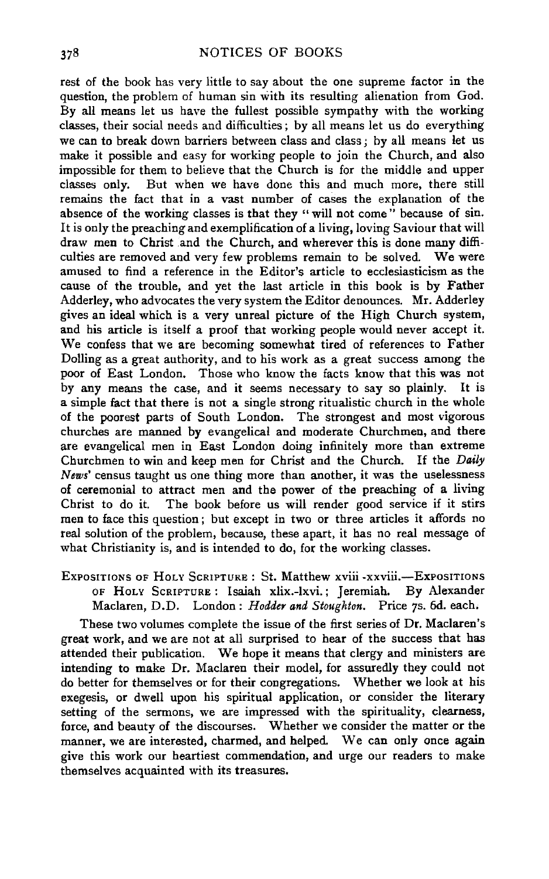rest of the book has very little to say about the one supreme factor in the question, the problem of human sin with its resulting alienation from God. By all means let us have the fullest possible sympathy with the working classes, their social needs and difficulties ; by all means let us do everything we can to break down barriers between class and class; by all means let us make it possible and easy for working people to join the Church, and also impossible for them to believe that the Church is for the middle and upper classes only. But when we have done this and much more, there still remains the fact that in a vast number of cases the explanation of the absence of the working classes is that they "will not come" because of sin. It is only the preaching and exemplification of a living, loving Saviour that will draw men to Christ and the Church, and wherever this is done many difficulties are removed and very few problems remain to be solved. We were amused to find a reference in the Editor's article to ecclesiasticism as the cause of the trouble, and yet the last article in this book is by Father Adderley, who advocates the very system the Editor denounces. Mr. Adderley gives an ideal which is a very unreal picture of the High Church system, and his article is itself a proof that working people would never accept it. We confess that we are becoming somewhat tired of references to Father Dolling as a great authority, and to his work as a great success among the poor of East London. Those who know the facts know that this was not by any means the case, and it seems necessary to say so plainly. It is a simple fact that there is not a single strong ritualistic church in the whole of the poorest parts of South London. The strongest and most vigorous churches are manned by evangelical and moderate Churchmen, and there are evangelical men in East London doing infinitely more than extreme Churchmen to win and keep men for Christ and the Church. If the *Daily News'* census taught us one thing more than another, it was the uselessness of ceremonial to attract men and the power of the preaching of a living Christ to do it. The book before us will render good service if it stirs men to face this question; but except in two or three articles it affords no real solution of the problem, because, these apart, it has no real message of what Christianity is, and is intended to do, for the working classes.

EXPOSITIONS OF HoLY ScRIPTURE : St. Matthew xviii -xxviii.-ExPOSITIONS OF HoLY ScRIPTURE: Isaiah xlix.-lxvi.; Jeremiah. By Alexander Maclaren, D.D. London: *Hodder and Stoughton.* Price 7s. 6d. each.

These two volumes complete the issue of the first series of Dr. Maclaren's great work, and we are not at all surprised to hear of the success that has attended their publication. We hope it means that clergy and ministers are intending to make Dr. Maclaren their model, for assuredly they could not do better for themselves or for their congregations. Whether we look at his exegesis, or dwell upon his spiritual application, or consider the literary setting of the sermons, we are impressed with the spirituality, clearness, force, and beauty of the discourses. Whether we consider the matter or the manner, we are interested, charmed, and helped. We can only once again give this work our heartiest commendation, and urge our readers to make themselves acquainted with its treasures.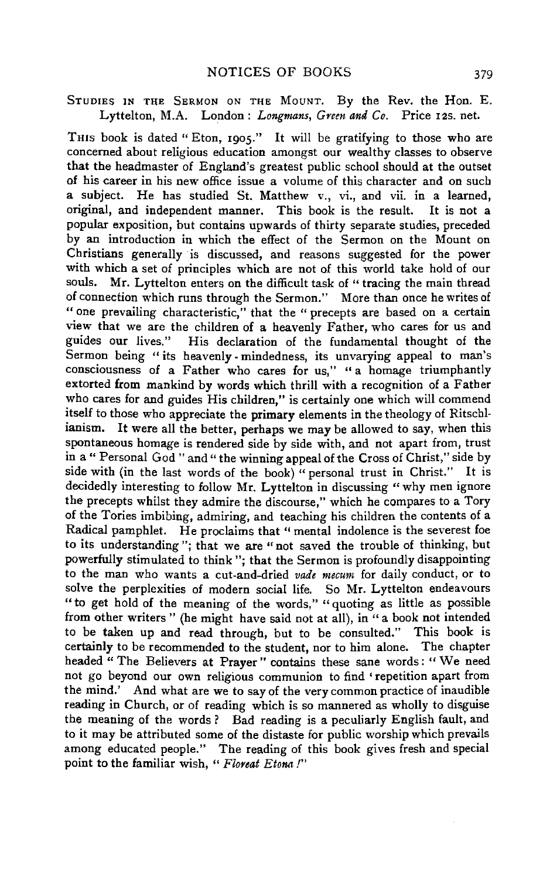## STUDIES IN THE SERMON ON THE MOUNT. By the Rev. the Hon. E. Lyttelton, M.A. London: *Longmans, Green and Co.* Price I2S. net.

THIS book is dated "Eton, 1905." It will be gratifying to those who are concerned about religious education amongst our wealthy classes to observe that the headmaster of England's greatest public school should at the outset of his career in his new office issue a volume of this character and on such a subject. He has studied St. Matthew v., vi., and vii. in a learned, original, and independent manner. This book is the result. It is not a popular exposition, but contains upwards of thirty separate studies, preceded by an introduction in which the effect of the Sermon on the Mount on Christians generally ·is discussed, and reasons suggested for the power with which a set of principles which are not of this world take hold of our souls. Mr. Lyttelton enters on the difficult task of "tracing the main thread Mr. Lyttelton enters on the difficult task of " tracing the main thread of connection which runs through the Sermon." More than once he writes of " one prevailing characteristic," that the " precepts are based on a certain view that we are the children of a heavenly Father, who cares for us and guides our lives." His declaration of the fundamental thought of the Sermon being "its heavenly-mindedness, its unvarying appeal to man's consciousness of a Father who cares for us," "a homage triumphantly extorted from mankind by words which thrill with a recognition of a Father who cares for and guides His children," is certainly one which will commend itself to those who appreciate the primary elements in the theology of Ritschlianism. It were all the better, perhaps we may be allowed to say, when this spontaneous homage is rendered side by side with, and not apart from, trust in a " Personal God " and " the winning appeal of the Cross of Christ," side by side with (in the last words of the book) "personal trust in Christ." It is decidedly interesting to follow Mr. Lyttelton in discussing "why men ignore the precepts whilst they admire the discourse," which he compares to a Tory of the Tories imbibing, admiring, and teaching his children the contents of a Radical pamphlet. He proclaims that "mental indolence is the severest foe to its understanding"; that we are "not saved the trouble of thinking, but powerfully stimulated to think "; that the Sermon is profoundly disappointing to the man who wants a cut-and-dried *vade mecum* for daily conduct, or to solve the perplexities of modern social life. So Mr. Lyttelton endeavours " to get hold of the meaning of the words," " quoting as little as possible from other writers " (he might have said not at all), in "a book not intended to be taken up and read through, but to be consulted." This book is certainly to be recommended to the student, nor to him alone. The chapter headed " The Believers at Prayer" contains these sane words: "We need not go beyond our own religious communion to find ' repetition apart from the mind.' And what are we to say of the very common practice of inaudible reading in Church, or of reading which is so mannered as wholly to disguise the meaning of the words ? Bad reading is a peculiarly English fault, and to it may be attributed some of the distaste for public worship which prevails among educated people." The reading of this book gives fresh and special point to the familiar wish, " *Floreat Etona* !"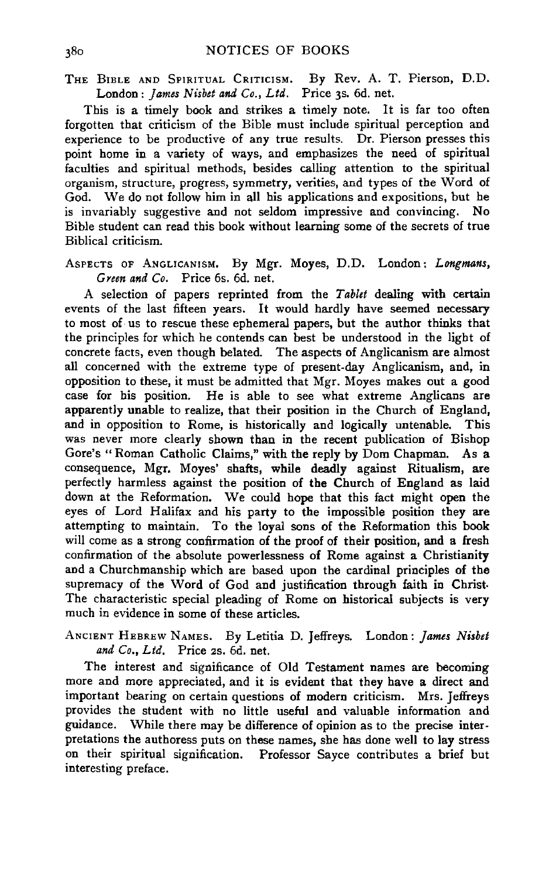THE BIBLE AND SPIRITUAL CRITICISM. By Rev. A. T. Pierson, D.D. London: *James Nisbet and Co., Ltd.* Price 3s. 6d. net.

This is a timely book and strikes a timely note. It is far too often forgotten that criticism of the Bible must include spiritual perception and experience to be productive of any true results. Dr. Pierson presses this point home in a variety of ways, and emphasizes the need of spiritual faculties and spiritual methods, besides calling attention to the spiritual organism, structure, progress, symmetry, verities, and types of the Word of God. We do not follow him in all his applications and expositions, but he is invariably suggestive and not seldom impressive and convincing. No Bible student can read this book without learning some of the secrets of true Biblical criticism.

AsPEcTs oF ANGLICANISM. By Mgr. Moyes, D.D. London: *Longmans, Green and Co.* Price 6s. 6d. net.

A selection of papers reprinted from the *Tablet* dealing with certain events of the last fifteen years. It would hardly have seemed necessary to most of· us to rescue these ephemeral papers, but the author thinks that the principles for which he contends can best be understood in the light of concrete facts, even though belated. The aspects of Anglicanism are almost all concerned with the extreme type of present-day Anglicanism, and, in opposition to these, it must be admitted that Mgr. Moyes makes out a good case for his position. He is able to see what extreme Anglicans are apparently unable to realize, that their position in the Church of England, and in opposition to Rome, is historically and logically untenable. This was never more clearly shown than in the recent publication of Bishop Gore's "Roman Catholic Claims," with the reply by Dom Chapman. As a consequence, Mgr. Moyes' shafts, while deadly against Ritualism, are perfectly harmless against the position of the Church of England as laid down at the Reformation. We could hope that this fact might open the eyes of Lord Halifax and his party to the impossible position they are attempting to maintain. To the loyal sons of the Reformation this book will come as a strong confirmation of the proof of their position, and a fresh confirmation of the absolute powerlessness of Rome against a Christianity and a Churchmanship which are based upon the cardinal principles of the supremacy of the Word of God and justification through faith in Christ. The characteristic special pleading of Rome on historical subjects is very much in evidence in some of these articles.

ANCIENT HEBREW NAMES. By Letitia D. Jeffreys. London: *james Nisbet and Co., Ltd.* Price 2s. 6d. net.

The interest and significance of Old Testament names are becoming more and more appreciated, and it is evident that they have a direct and important bearing on certain questions of modern criticism. Mrs. Jeffreys provides the student with no little useful and valuable information and guidance. While there may be difference of opinion as to the precise interpretations the authoress puts on these names, she has done well to lay stress on their spiritual signification. Professor Sayee contributes a brief but interesting preface.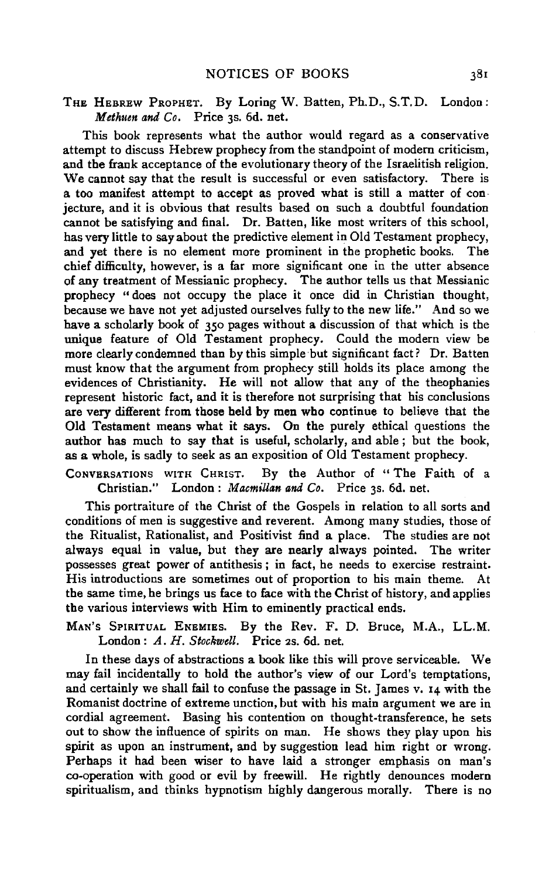# THE HEBREW PROPHET. By Loring W. Batten, Ph.D., S.T.D. London: *Methuen and Co.* Price 3s. 6d. net.

This book represents what the author would regard as a conservative attempt to discuss Hebrew prophecy from the standpoint of modem criticism, and the frank acceptance of the evolutionary theory of the Israelitish religion. We cannot say that the result is successful or even satisfactory. There is a too manifest attempt to accept as proved what is still a matter of con· jecture, and it is obvious that results based on such a doubtful foundation cannot be satisfying and final. Dr. Batten, like most writers of this school, has very little to say about the predictive element in Old Testament prophecy, and yet there is no element more prominent in the prophetic books. The chief difficulty, however, is a far more significant one in the utter absence of any treatment of Messianic prophecy. The author tells us that Messianic prophecy " does not occupy the place it once did in Christian thought, because we have not yet adjusted ourselves fully to the new life.'' And so we have a scholarly book of 350 pages without a discussion of that which is the unique feature of Old Testament prophecy. Could the modern view be more clearly condemned than by this simple but significant fact? Dr. Batten must know that the argument from prophecy still holds its place among the evidences of Christianity. He will not allow that any of the theophanies represent historic fact, and it is therefore not surprising that his conclusions are very different from those held by men who continue to believe that the Old Testament means what it says. On the purely ethical questions the author has much to say that is useful, scholarly, and able ; but the book, as a whole, is sadly to seek as an exposition of Old Testament prophecy.

CoNVERSATIONS WITH CHRIST. By the Author of " The Faith of a Christian." London: *Macmillan and Co.* Price 3s. 6d. net.

This portraiture of the Christ of the Gospels in relation to all sorts and conditions of men is suggestive and reverent. Among many studies, those of the Ritualist, Rationalist, and Positivist find a place. The studies are not always equal in value, but they are nearly always pointed. The writer possesses great power of antithesis ; in fact, he needs to exercise restraint. His introductions are sometimes out of proportion to his main theme. At the same time, he brings us face to face with the Christ of history, and applies the various interviews with Him to eminently practical ends.

MAN's SPIRITUAL ENEMIES. By the Rev. F. D. Bruce, M.A., LL.M. London : *A. H. Stockwell.* Price 2s. 6d. net.

In these days of abstractions a book like this will prove serviceable. We may fail incidentally to hold the author's view of our Lord's temptations, and certainly we shall fail to confuse the passage in St. James v. 14 with the Romanist doctrine of extreme unction, but with his main argument we are in cordial agreement. Basing his contention on thought-transference, he sets out to show the influence of spirits on man. He shows they play upon his spirit as upon an instrument, and by suggestion lead him right or wrong. Perhaps it had been wiser to have laid a stronger emphasis on man's co-operation with good or evil by freewill. He rightly denounces modern spiritualism, and thinks hypnotism highly dangerous morally. There is no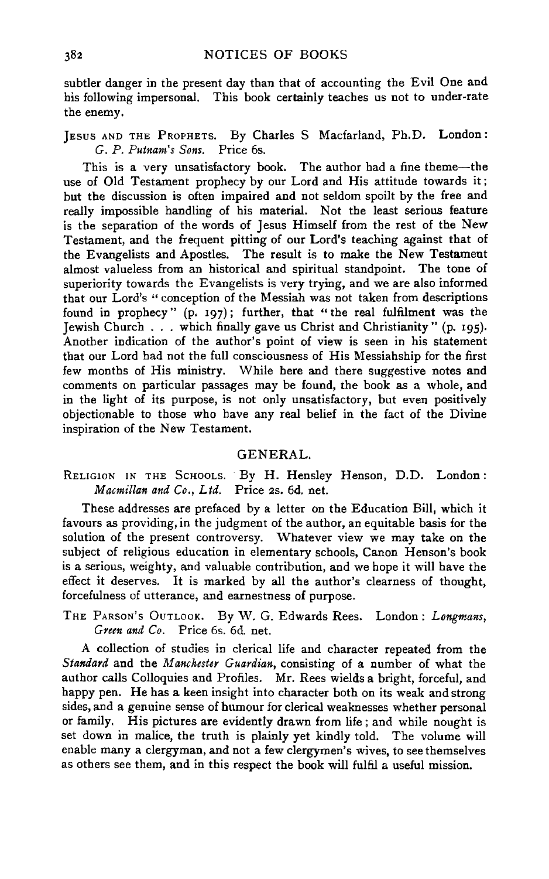subtler danger in the present day than that of accounting the Evil One and his following impersonal. This book certainly teaches us not to under-rate the enemy.

JEsus AND THE PRoPHETS. By Charles S Macfarland, Ph.D. London: G. *P. Putnam's Sons.* Price 6s.

This is a very unsatisfactory book. The author had a fine theme-the use of Old Testament prophecy by our Lord and His attitude towards it; but the discussion is often impaired and not seldom spoilt by the free and really impossible handling of his material. Not the least serious feature is the separation of the words of Jesus Himself from the rest of the New Testament, and the frequent pitting of our Lord's teaching against that of the Evangelists and Apostles. The result is to make the New Testament almost valueless from an historical and spiritual standpoint. The tone of superiority towards the Evangelists is very trying, and we are also informed that our Lord's "conception of the Messiah was not taken from descriptions found in prophecy" (p. 197); further, that "the real fulfilment was the Jewish Church ... which finally gave us Christ and Christianity" (p. 195). Another indication of the author's point of view is seen in his statement that our Lord bad not the full consciousness of His Messiahship for the first few months of His ministry. While here and there suggestive notes and comments on particular passages may be found, the book as a whole, and in the light of its purpose, is not only unsatisfactory, but even positively objectionable to those who have any real belief in the fact of the Divine inspiration of the New Testament.

#### GENERAL.

## RELIGION IN THE ScHOOLS. By H. Hensley Henson, D.D. London : *Macmillan and Co., Ltd.* Price 2s. 6d. net.

These addresses are prefaced by a letter on the Education Bill, which it favours as providing, in the judgment of the author, an equitable basis for the solution of the present controversy. Whatever view we may take on the subject of religious education in elementary schools, Canon Henson's book is a serious, weighty, and valuable contribution, and we hope it will have the effect it deserves. It is marked by all the author's clearness of thought, forcefulness of utterance, and earnestness of purpose.

THE PARSON's OUTLOOK. By W. G. Edwards Rees. London: Longmans, *Green and Co.* Price 6s. 6d. net.

A collection of studies in clerical life and character repeated from the *Standard* and the *Manchester Guardian,* consisting of a number of what the author calls Colloquies and Profiles. Mr. Rees wields a bright, forceful, and happy pen. He has a keen insight into character both on its weak and strong sides, and a genuine sense of humour for clerical weaknesses whether personal or family. His pictures are evidently drawn from life; and while nought is set down in malice, the truth is plainly yet kindly told. The volume will enable many a clergyman, and not a few clergymen's wives, to see themselves as others see them, and in this respect the book will fulfil a useful mission.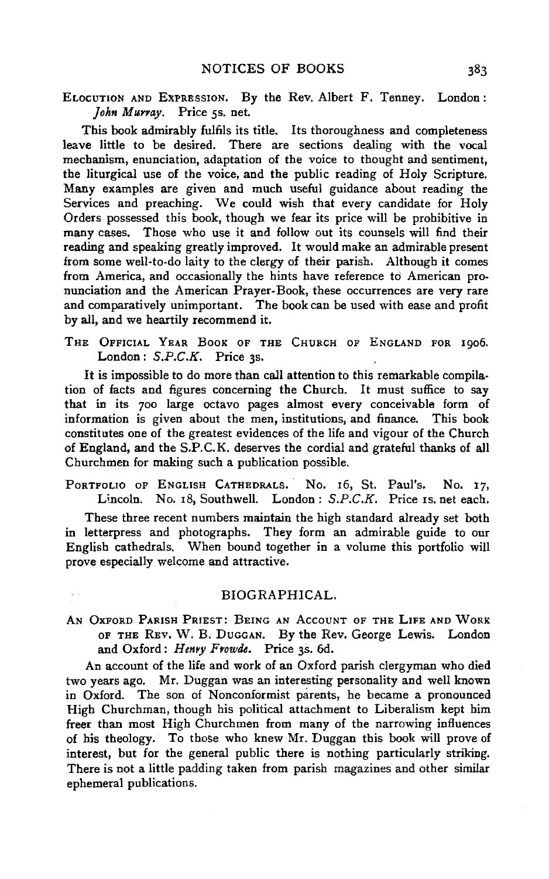ELOCUTION AND ExPRESSION. By the Rev. Albert F. Tenney. London: John Murray. Price 5s. net.

This book admirably fulfils its title. Its thoroughness and completeness leave little to be desired. There are sections dealing with the vocal mechanism, enunciation, adaptation of the voice to thought and sentiment, the liturgical use of the voice, and the public reading of Holy Scripture. Many examples are given and much useful guidance about reading the Services and preaching. We could wish that every candidate for Holy Orders possessed this book, though we fear its price will be prohibitive in many cases. Those who use it and follow out its counsels will find their reading and speaking greatly improved. It would make an admirable present from some well-to-do laity to the clergy of their parish. Although it comes from America, and occasionally the hints have reference to American pronunciation and the American Prayer-Book, these occurrences are very rare and comparatively unimportant. The book can be used with ease and profit by all, and we heartily recommend it.

THE OFFICIAL YEAR BOOK OF THE CHURCH OF ENGLAND FOR 1906. London:  $S.P.C.K.$  Price 3s.

It is impossible to do more than call attention to this remarkable compilation of facts and figures concerning the Church. It must suffice to say that in its 700 large octavo pages almost every conceivable form of information is given about the men, institutions, and finance. This book constitutes one of the greatest evidences of the life and vigour of the Church of England, and the S.P.C.K. deserves the cordial and grateful thanks of all Churchmen for making such a publication possible.

PORTFOLIO OF ENGLISH CATHEDRALS. No. 16, St. Paul's. No. 17, Lincoln. No. 18, Southwell. London: S.P.C.K. Price Is. net each.

These three recent numbers maintain the high standard already set both in letterpress and photographs. They form an admirable guide to our English cathedrals. When bound together in a volume this portfolio will prove especially welcome and attractive.

#### BIOGRAPHICAL.

AN OXFORD PARISH PRIEST: BEING AN ACCOUNT OF THE LIFE AND WORK oF THE REv. W. B. DuGGAN. By the Rev. George Lewis. London and Oxford: *Henyy Frowde.* Price 3s. 6d.

An account of the life and work of an Oxford parish clergyman who died two years ago. Mr. Duggan was an interesting personality and well known in Oxford. The son of Nonconformist parents, he became a pronounced High Churchman, though his political attachment to Liberalism kept him freer than most High Churchmen from many of the narrowing influences of his theology. To those who knew Mr. Duggan this book will prove of interest, but for the general public there is nothing particularly striking. There is not a little padding taken from parish magazines and other similar ephemeral publications.